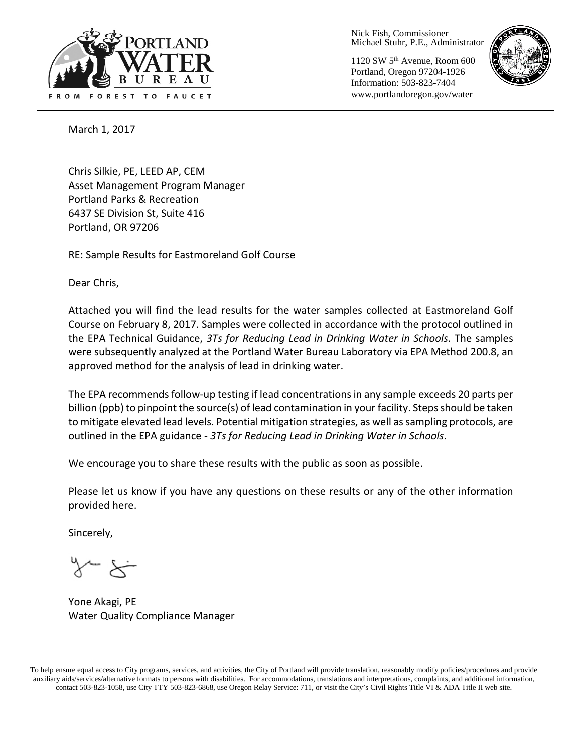

Nick Fish, Commissioner Michael Stuhr, P.E., Administrator

1120 SW 5th Avenue, Room 600 Portland, Oregon 97204-1926 Information: 503-823-7404 www.portlandoregon.gov/water



March 1, 2017

Chris Silkie, PE, LEED AP, CEM Asset Management Program Manager Portland Parks & Recreation 6437 SE Division St, Suite 416 Portland, OR 97206

RE: Sample Results for Eastmoreland Golf Course

Dear Chris,

Attached you will find the lead results for the water samples collected at Eastmoreland Golf Course on February 8, 2017. Samples were collected in accordance with the protocol outlined in the EPA Technical Guidance, *3Ts for Reducing Lead in Drinking Water in Schools*. The samples were subsequently analyzed at the Portland Water Bureau Laboratory via EPA Method 200.8, an approved method for the analysis of lead in drinking water.

The EPA recommends follow-up testing if lead concentrations in any sample exceeds 20 parts per billion (ppb) to pinpoint the source(s) of lead contamination in your facility. Steps should be taken to mitigate elevated lead levels. Potential mitigation strategies, as well as sampling protocols, are outlined in the EPA guidance - *3Ts for Reducing Lead in Drinking Water in Schools*.

We encourage you to share these results with the public as soon as possible.

Please let us know if you have any questions on these results or any of the other information provided here.

Sincerely,

Yone Akagi, PE Water Quality Compliance Manager

To help ensure equal access to City programs, services, and activities, the City of Portland will provide translation, reasonably modify policies/procedures and provide auxiliary aids/services/alternative formats to persons with disabilities. For accommodations, translations and interpretations, complaints, and additional information, contact 503-823-1058, use City TTY 503-823-6868, use Oregon Relay Service: 711, or visi[t the City's Civil Rights Title VI & ADA Title II web site.](http://www.portlandoregon.gov/oehr/66458)